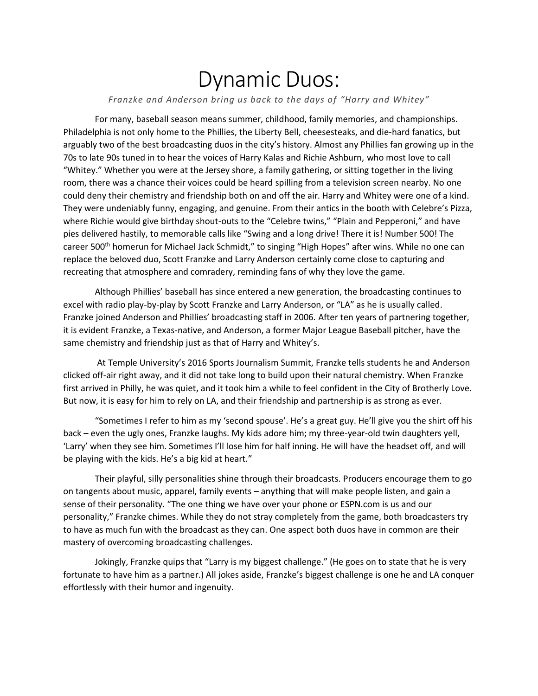## Dynamic Duos:

*Franzke and Anderson bring us back to the days of "Harry and Whitey"*

For many, baseball season means summer, childhood, family memories, and championships. Philadelphia is not only home to the Phillies, the Liberty Bell, cheesesteaks, and die-hard fanatics, but arguably two of the best broadcasting duos in the city's history. Almost any Phillies fan growing up in the 70s to late 90s tuned in to hear the voices of Harry Kalas and Richie Ashburn, who most love to call "Whitey." Whether you were at the Jersey shore, a family gathering, or sitting together in the living room, there was a chance their voices could be heard spilling from a television screen nearby. No one could deny their chemistry and friendship both on and off the air. Harry and Whitey were one of a kind. They were undeniably funny, engaging, and genuine. From their antics in the booth with Celebre's Pizza, where Richie would give birthday shout-outs to the "Celebre twins," "Plain and Pepperoni," and have pies delivered hastily, to memorable calls like "Swing and a long drive! There it is! Number 500! The career 500<sup>th</sup> homerun for Michael Jack Schmidt," to singing "High Hopes" after wins. While no one can replace the beloved duo, Scott Franzke and Larry Anderson certainly come close to capturing and recreating that atmosphere and comradery, reminding fans of why they love the game.

Although Phillies' baseball has since entered a new generation, the broadcasting continues to excel with radio play-by-play by Scott Franzke and Larry Anderson, or "LA" as he is usually called. Franzke joined Anderson and Phillies' broadcasting staff in 2006. After ten years of partnering together, it is evident Franzke, a Texas-native, and Anderson, a former Major League Baseball pitcher, have the same chemistry and friendship just as that of Harry and Whitey's.

At Temple University's 2016 Sports Journalism Summit, Franzke tells students he and Anderson clicked off-air right away, and it did not take long to build upon their natural chemistry. When Franzke first arrived in Philly, he was quiet, and it took him a while to feel confident in the City of Brotherly Love. But now, it is easy for him to rely on LA, and their friendship and partnership is as strong as ever.

"Sometimes I refer to him as my 'second spouse'. He's a great guy. He'll give you the shirt off his back – even the ugly ones, Franzke laughs. My kids adore him; my three-year-old twin daughters yell, 'Larry' when they see him. Sometimes I'll lose him for half inning. He will have the headset off, and will be playing with the kids. He's a big kid at heart."

Their playful, silly personalities shine through their broadcasts. Producers encourage them to go on tangents about music, apparel, family events – anything that will make people listen, and gain a sense of their personality. "The one thing we have over your phone or ESPN.com is us and our personality," Franzke chimes. While they do not stray completely from the game, both broadcasters try to have as much fun with the broadcast as they can. One aspect both duos have in common are their mastery of overcoming broadcasting challenges.

Jokingly, Franzke quips that "Larry is my biggest challenge." (He goes on to state that he is very fortunate to have him as a partner.) All jokes aside, Franzke's biggest challenge is one he and LA conquer effortlessly with their humor and ingenuity.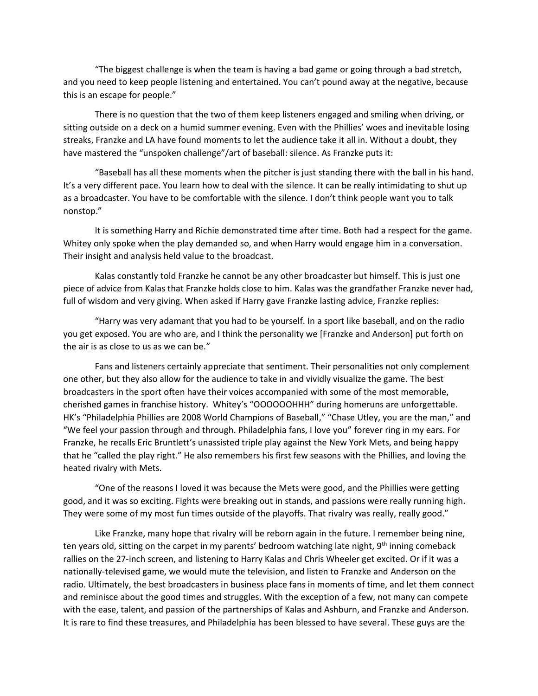"The biggest challenge is when the team is having a bad game or going through a bad stretch, and you need to keep people listening and entertained. You can't pound away at the negative, because this is an escape for people."

There is no question that the two of them keep listeners engaged and smiling when driving, or sitting outside on a deck on a humid summer evening. Even with the Phillies' woes and inevitable losing streaks, Franzke and LA have found moments to let the audience take it all in. Without a doubt, they have mastered the "unspoken challenge"/art of baseball: silence. As Franzke puts it:

"Baseball has all these moments when the pitcher is just standing there with the ball in his hand. It's a very different pace. You learn how to deal with the silence. It can be really intimidating to shut up as a broadcaster. You have to be comfortable with the silence. I don't think people want you to talk nonstop."

It is something Harry and Richie demonstrated time after time. Both had a respect for the game. Whitey only spoke when the play demanded so, and when Harry would engage him in a conversation. Their insight and analysis held value to the broadcast.

Kalas constantly told Franzke he cannot be any other broadcaster but himself. This is just one piece of advice from Kalas that Franzke holds close to him. Kalas was the grandfather Franzke never had, full of wisdom and very giving. When asked if Harry gave Franzke lasting advice, Franzke replies:

"Harry was very adamant that you had to be yourself. In a sport like baseball, and on the radio you get exposed. You are who are, and I think the personality we [Franzke and Anderson] put forth on the air is as close to us as we can be."

Fans and listeners certainly appreciate that sentiment. Their personalities not only complement one other, but they also allow for the audience to take in and vividly visualize the game. The best broadcasters in the sport often have their voices accompanied with some of the most memorable, cherished games in franchise history. Whitey's "OOOOOOHHH" during homeruns are unforgettable. HK's "Philadelphia Phillies are 2008 World Champions of Baseball," "Chase Utley, you are the man," and "We feel your passion through and through. Philadelphia fans, I love you" forever ring in my ears. For Franzke, he recalls Eric Bruntlett's unassisted triple play against the New York Mets, and being happy that he "called the play right." He also remembers his first few seasons with the Phillies, and loving the heated rivalry with Mets.

"One of the reasons I loved it was because the Mets were good, and the Phillies were getting good, and it was so exciting. Fights were breaking out in stands, and passions were really running high. They were some of my most fun times outside of the playoffs. That rivalry was really, really good."

Like Franzke, many hope that rivalry will be reborn again in the future. I remember being nine, ten years old, sitting on the carpet in my parents' bedroom watching late night, 9<sup>th</sup> inning comeback rallies on the 27-inch screen, and listening to Harry Kalas and Chris Wheeler get excited. Or if it was a nationally-televised game, we would mute the television, and listen to Franzke and Anderson on the radio. Ultimately, the best broadcasters in business place fans in moments of time, and let them connect and reminisce about the good times and struggles. With the exception of a few, not many can compete with the ease, talent, and passion of the partnerships of Kalas and Ashburn, and Franzke and Anderson. It is rare to find these treasures, and Philadelphia has been blessed to have several. These guys are the